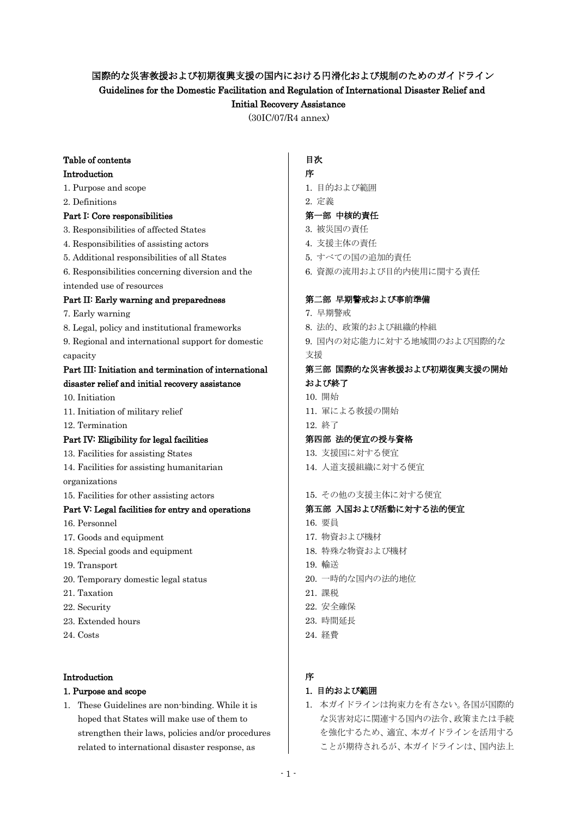# 国際的な災害救援および初期復興支援の国内における円滑化および規制のためのガイドライン

Guidelines for the Domestic Facilitation and Regulation of International Disaster Relief and

## Initial Recovery Assistance

(30IC/07/R4 annex)

# Table of contents

## Introduction

- 1. Purpose and scope
- 2. Definitions

## Part I: Core responsibilities

- 3. Responsibilities of affected States
- 4. Responsibilities of assisting actors
- 5. Additional responsibilities of all States
- 6. Responsibilities concerning diversion and the
- intended use of resources

## Part II: Early warning and preparedness

- 7. Early warning
- 8. Legal, policy and institutional frameworks
- 9. Regional and international support for domestic capacity

### Part III: Initiation and termination of international disaster relief and initial recovery assistance

- 10. Initiation
- 11. Initiation of military relief
- 12. Termination

## Part IV: Eligibility for legal facilities

- 13. Facilities for assisting States
- 14. Facilities for assisting humanitarian

organizations

15. Facilities for other assisting actors

## Part V: Legal facilities for entry and operations

- 16. Personnel
- 17. Goods and equipment
- 18. Special goods and equipment
- 19. Transport
- 20. Temporary domestic legal status
- 21. Taxation
- 22. Security
- 23. Extended hours
- 24. Costs

## Introduction

## 1. Purpose and scope

1. These Guidelines are non-binding. While it is hoped that States will make use of them to strengthen their laws, policies and/or procedures related to international disaster response, as

## 目次

### 序

1. 目的および範囲

# 2. 定義

- 第一部 中核的責任
- 3. 被災国の責任
- 4. 支援主体の責任
- 5. すべての国の追加的責任
- 6. 資源の流用および目的内使用に関する責任

### 第二部 早期警戒および事前準備

- 7. 早期警戒
- 8. 法的、政策的および組織的枠組
- 9. 国内の対応能力に対する地域間のおよび国際的な
- 支援

### 第三部 国際的な災害救援および初期復興支援の開始 および終了

- 10. 開始
- 11. 軍による救援の開始

### 12. 終了

### 第四部 法的便宜の授与資格

- 13. 支援国に対する便宜
- 14. 人道支援組織に対する便宜

### 15. その他の支援主体に対する便宜

### 第五部 入国および活動に対する法的便宜

- 16. 要員
- 17. 物資および機材
- 18. 特殊な物資および機材
- 19. 輸送
- 20. 一時的な国内の法的地位
- 21. 課税
- 22. 安全確保
- 23. 時間延長
- 24. 経費

# 序

## 1. 目的および範囲

1. 本ガイドラインは拘束力を有さない。各国が国際的 な災害対応に関連する国内の法令、政策または手続 を強化するため、適宜、本ガイドラインを活用する ことが期待されるが、本ガイドラインは、国内法上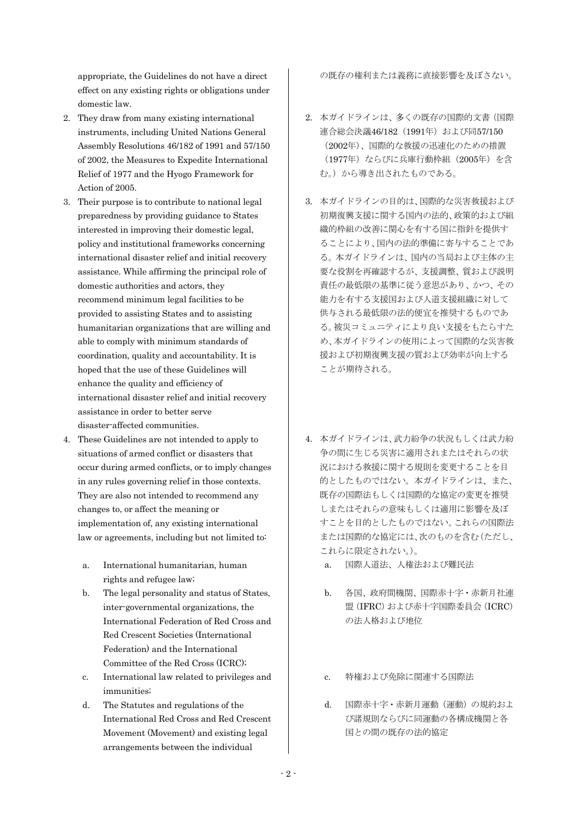appropriate, the Guidelines do not have a direct effect on any existing rights or obligations under domestic law.

- 2. They draw from many existing international instruments, including United Nations General Assembly Resolutions 46/182 of 1991 and 57/150 of 2002, the Measures to Expedite International Relief of 1977 and the Hyogo Framework for Action of 2005.
- 3. Their purpose is to contribute to national legal preparedness by providing guidance to States interested in improving their domestic legal, policy and institutional frameworks concerning international disaster relief and initial recovery assistance. While affirming the principal role of domestic authorities and actors, they recommend minimum legal facilities to be provided to assisting States and to assisting humanitarian organizations that are willing and able to comply with minimum standards of coordination, quality and accountability. It is hoped that the use of these Guidelines will enhance the quality and efficiency of international disaster relief and initial recovery assistance in order to better serve disaster-affected communities.
- 4. These Guidelines are not intended to apply to situations of armed conflict or disasters that occur during armed conflicts, or to imply changes in any rules governing relief in those contexts. They are also not intended to recommend any changes to, or affect the meaning or implementation of, any existing international law or agreements, including but not limited to:
	- a. International humanitarian, human rights and refugee law;
	- b. The legal personality and status of States, inter-governmental organizations, the International Federation of Red Cross and Red Crescent Societies (International Federation) and the International Committee of the Red Cross (ICRC);
	- c. International law related to privileges and immunities;
	- d. The Statutes and regulations of the International Red Cross and Red Crescent Movement (Movement) and existing legal arrangements between the individual

の既存の権利または義務に直接影響を及ぼさない。

- 2. 本ガイドラインは、多くの既存の国際的文書(国際 連合総会決議46/182 (1991年) および同57/150 (2002年)、国際的な救援の迅速化のための措置 (1977年)ならびに兵庫行動枠組(2005年)を含 む。)から導き出されたものである。
- 3. 本ガイドラインの目的は、国際的な災害救援および 初期復興支援に関する国内の法的、政策的および組 織的枠組の改善に関心を有する国に指針を提供す ることにより、国内の法的準備に寄与することであ る。本ガイドラインは、国内の当局および主体の主 要な役割を再確認するが、支援調整、質および説明 責任の最低限の基準に従う意思があり、かつ、その 能力を有する支援国および人道支援組織に対して 供与される最低限の法的便宜を推奨するものであ る。被災コミュニティにより良い支援をもたらすた め、本ガイドラインの使用によって国際的な災害救 援および初期復興支援の質および効率が向上する ことが期待される。
- 4. 本ガイドラインは、武力紛争の状況もしくは武力紛 争の間に生じる災害に適用されまたはそれらの状 況における救援に関する規則を変更することを目 的としたものではない。本ガイドラインは、また、 既存の国際法もしくは国際的な協定の変更を推奨 しまたはそれらの意味もしくは適用に影響を及ぼ すことを目的としたものではない。これらの国際法 または国際的な協定には、次のものを含む(ただし、 これらに限定されない。)。
	- a. 国際人道法、人権法および難民法
	- b. 各国、政府間機関、国際赤十字・赤新月社連 盟(IFRC)および赤十字国際委員会(ICRC) の法人格および地位
	- c. 特権および免除に関連する国際法
	- d. 国際赤十字・赤新月運動(運動)の規約およ び諸規則ならびに同運動の各構成機関と各 国との間の既存の法的協定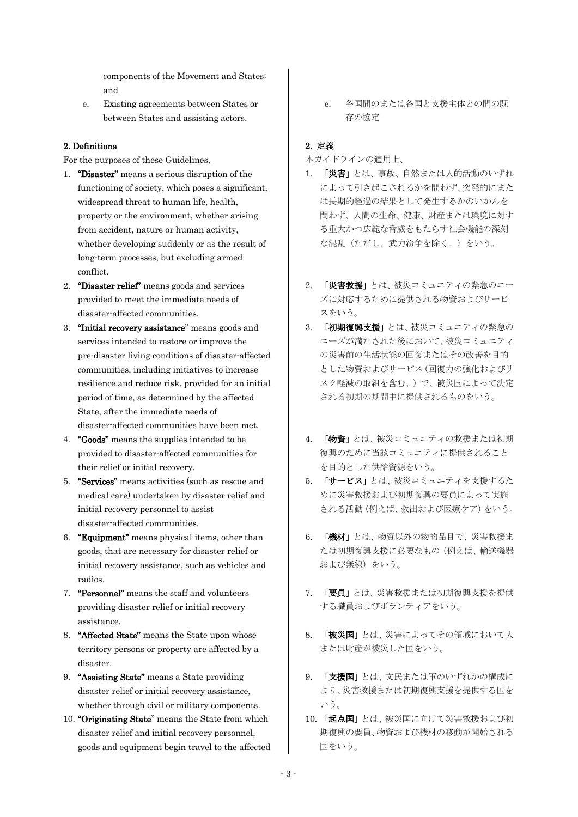components of the Movement and States; and

e. Existing agreements between States or between States and assisting actors.

### 2. Definitions

For the purposes of these Guidelines,

- 1. "Disaster" means a serious disruption of the functioning of society, which poses a significant, widespread threat to human life, health, property or the environment, whether arising from accident, nature or human activity, whether developing suddenly or as the result of long-term processes, but excluding armed conflict.
- 2. "Disaster relief" means goods and services provided to meet the immediate needs of disaster-affected communities.
- 3. "Initial recovery assistance" means goods and services intended to restore or improve the pre-disaster living conditions of disaster-affected communities, including initiatives to increase resilience and reduce risk, provided for an initial period of time, as determined by the affected State, after the immediate needs of disaster-affected communities have been met.
- 4. "Goods" means the supplies intended to be provided to disaster-affected communities for their relief or initial recovery.
- 5. "Services" means activities (such as rescue and medical care) undertaken by disaster relief and initial recovery personnel to assist disaster-affected communities.
- 6. "Equipment" means physical items, other than goods, that are necessary for disaster relief or initial recovery assistance, such as vehicles and radios.
- 7. "Personnel" means the staff and volunteers providing disaster relief or initial recovery assistance.
- 8. "Affected State" means the State upon whose territory persons or property are affected by a disaster.
- 9. "Assisting State" means a State providing disaster relief or initial recovery assistance, whether through civil or military components.
- 10. "Originating State" means the State from which disaster relief and initial recovery personnel, goods and equipment begin travel to the affected

e. 各国間のまたは各国と支援主体との間の既 存の協定

### 2. 定義

本ガイドラインの適用上、

- 1. 「災害」とは、事故、自然または人的活動のいずれ によって引き起こされるかを問わず、突発的にまた は長期的経過の結果として発生するかのいかんを 問わず、人間の生命、健康、財産または環境に対す る重大かつ広範な脅威をもたらす社会機能の深刻 な混乱(ただし、武力紛争を除く。)をいう。
- 2. 「災害救援」とは、被災コミュニティの緊急のニー ズに対応するために提供される物資およびサービ スをいう。
- 3. 「初期復興支援」とは、被災コミュニティの緊急の ニーズが満たされた後において、被災コミュニティ の災害前の生活状態の回復またはその改善を目的 とした物資およびサービス(回復力の強化およびリ スク軽減の取組を含む。)で、被災国によって決定 される初期の期間中に提供されるものをいう。
- 4. 「物資」とは、被災コミュニティの救援または初期 復興のために当該コミュニティに提供されること を目的とした供給資源をいう。
- 5. 「サービス」とは、被災コミュニティを支援するた めに災害救援および初期復興の要員によって実施 される活動(例えば、救出および医療ケア)をいう。
- 6. 「機材」とは、物資以外の物的品目で、災害救援ま たは初期復興支援に必要なもの(例えば、輸送機器 および無線)をいう。
- 7. 「要員」とは、災害救援または初期復興支援を提供 する職員およびボランティアをいう。
- 8. 「被災国」とは、災害によってその領域において人 または財産が被災した国をいう。
- 9. 「支援国」とは、文民または軍のいずれかの構成に より、災害救援または初期復興支援を提供する国を いう。
- 10. 「起点国」とは、被災国に向けて災害救援および初 期復興の要員、物資および機材の移動が開始される 国をいう。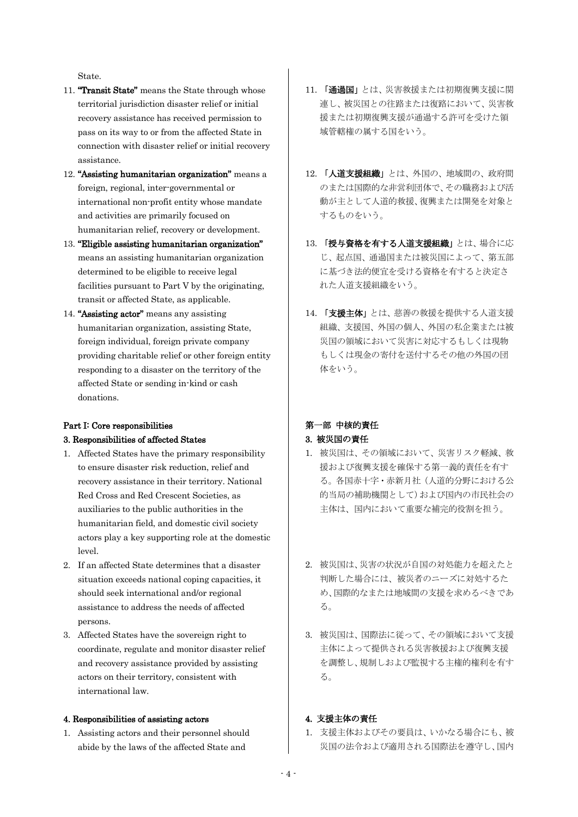State.

- 11. "Transit State" means the State through whose territorial jurisdiction disaster relief or initial recovery assistance has received permission to pass on its way to or from the affected State in connection with disaster relief or initial recovery assistance.
- 12. "Assisting humanitarian organization" means a foreign, regional, inter-governmental or international non-profit entity whose mandate and activities are primarily focused on humanitarian relief, recovery or development.
- 13. "Eligible assisting humanitarian organization" means an assisting humanitarian organization determined to be eligible to receive legal facilities pursuant to Part V by the originating, transit or affected State, as applicable.
- 14. "Assisting actor" means any assisting humanitarian organization, assisting State, foreign individual, foreign private company providing charitable relief or other foreign entity responding to a disaster on the territory of the affected State or sending in-kind or cash donations.

### Part I: Core responsibilities 3. Responsibilities of affected States

- 1. Affected States have the primary responsibility to ensure disaster risk reduction, relief and recovery assistance in their territory. National Red Cross and Red Crescent Societies, as auxiliaries to the public authorities in the humanitarian field, and domestic civil society actors play a key supporting role at the domestic level.
- 2. If an affected State determines that a disaster situation exceeds national coping capacities, it should seek international and/or regional assistance to address the needs of affected persons.
- 3. Affected States have the sovereign right to coordinate, regulate and monitor disaster relief and recovery assistance provided by assisting actors on their territory, consistent with international law.

#### 4. Responsibilities of assisting actors

1. Assisting actors and their personnel should abide by the laws of the affected State and

- 11. 「通過国」とは、災害救援または初期復興支援に関 連し、被災国との往路または復路において、災害救 援または初期復興支援が通過する許可を受けた領 域管轄権の属する国をいう。
- 12. 「人道支援組織」とは、外国の、地域間の、政府間 のまたは国際的な非営利団体で、その職務および活 動が主として人道的救援、復興または開発を対象と するものをいう。
- 13. 「授与資格を有する人道支援組織」とは、場合に応 じ、起点国、通過国または被災国によって、第五部 に基づき法的便宜を受ける資格を有すると決定さ れた人道支援組織をいう。
- 14. 「支援主体」とは、慈善の救援を提供する人道支援 組織、支援国、外国の個人、外国の私企業または被 災国の領域において災害に対応するもしくは現物 もしくは現金の寄付を送付するその他の外国の団 体をいう。

# 第一部 中核的責任

### 3. 被災国の責任

- 1. 被災国は、その領域において、災害リスク軽減、救 援および復興支援を確保する第一義的責任を有す る。各国赤十字・赤新月社(人道的分野における公 的当局の補助機関として)および国内の市民社会の 主体は、国内において重要な補完的役割を担う。
- 2. 被災国は、災害の状況が自国の対処能力を超えたと 判断した場合には、被災者のニーズに対処するた め、国際的なまたは地域間の支援を求めるべきであ る。
- 3. 被災国は、国際法に従って、その領域において支援 主体によって提供される災害救援および復興支援 を調整し、規制しおよび監視する主権的権利を有す る。

### 4. 支援主体の責任

1. 支援主体およびその要員は、いかなる場合にも、被 災国の法令および適用される国際法を遵守し、国内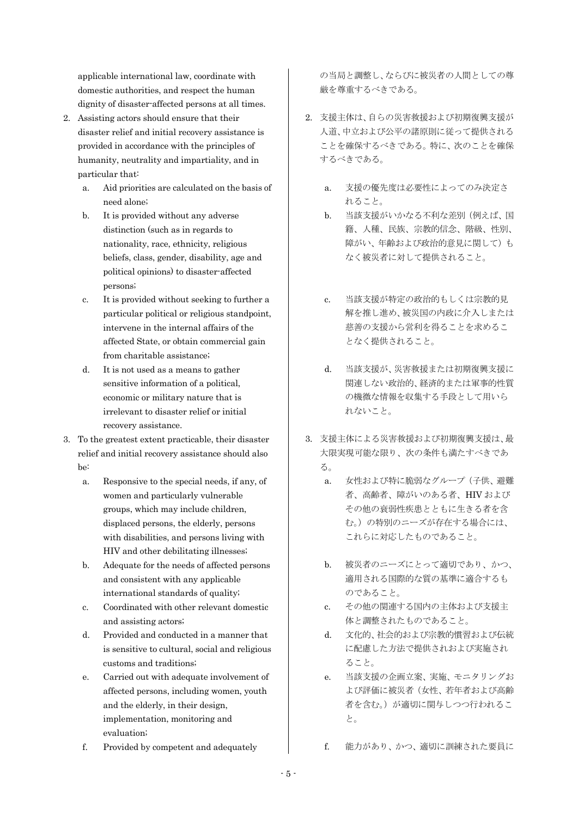applicable international law, coordinate with domestic authorities, and respect the human dignity of disaster-affected persons at all times.

- 2. Assisting actors should ensure that their disaster relief and initial recovery assistance is provided in accordance with the principles of humanity, neutrality and impartiality, and in particular that:
	- a. Aid priorities are calculated on the basis of need alone;
	- b. It is provided without any adverse distinction (such as in regards to nationality, race, ethnicity, religious beliefs, class, gender, disability, age and political opinions) to disaster-affected persons;
	- c. It is provided without seeking to further a particular political or religious standpoint, intervene in the internal affairs of the affected State, or obtain commercial gain from charitable assistance;
	- d. It is not used as a means to gather sensitive information of a political, economic or military nature that is irrelevant to disaster relief or initial recovery assistance.
- 3. To the greatest extent practicable, their disaster relief and initial recovery assistance should also be:
	- a. Responsive to the special needs, if any, of women and particularly vulnerable groups, which may include children, displaced persons, the elderly, persons with disabilities, and persons living with HIV and other debilitating illnesses;
	- b. Adequate for the needs of affected persons and consistent with any applicable international standards of quality;
	- c. Coordinated with other relevant domestic and assisting actors;
	- d. Provided and conducted in a manner that is sensitive to cultural, social and religious customs and traditions;
	- e. Carried out with adequate involvement of affected persons, including women, youth and the elderly, in their design, implementation, monitoring and evaluation;
	- f. Provided by competent and adequately

の当局と調整し、ならびに被災者の人間としての尊 厳を尊重するべきである。

- 2. 支援主体は、自らの災害救援および初期復興支援が 人道、中立および公平の諸原則に従って提供される ことを確保するべきである。特に、次のことを確保 するべきである。
	- a. 支援の優先度は必要性によってのみ決定さ れること。
	- b. 当該支援がいかなる不利な差別(例えば、国 籍、人種、民族、宗教的信念、階級、性別、 障がい、年齢および政治的意見に関して)も なく被災者に対して提供されること。
	- c. 当該支援が特定の政治的もしくは宗教的見 解を推し進め、被災国の内政に介入しまたは 慈善の支援から営利を得ることを求めるこ となく提供されること。
	- d. 当該支援が、災害救援または初期復興支援に 関連しない政治的、経済的または軍事的性質 の機微な情報を収集する手段として用いら れないこと。
- 3. 支援主体による災害救援および初期復興支援は、最 大限実現可能な限り、次の条件も満たすべきであ る。
	- a. 女性および特に脆弱なグループ(子供、避難 者、高齢者、障がいのある者、HIV および その他の衰弱性疾患とともに生きる者を含 む。)の特別のニーズが存在する場合には、 これらに対応したものであること。
	- b. 被災者のニーズにとって適切であり、かつ、 適用される国際的な質の基準に適合するも のであること。
	- c. その他の関連する国内の主体および支援主 体と調整されたものであること。
	- d. 文化的、社会的および宗教的慣習および伝統 に配慮した方法で提供されおよび実施され ること。
	- e. 当該支援の企画立案、実施、モニタリングお よび評価に被災者(女性、若年者および高齢 者を含む。)が適切に関与しつつ行われるこ と。
	- f. 能力があり、かつ、適切に訓練された要員に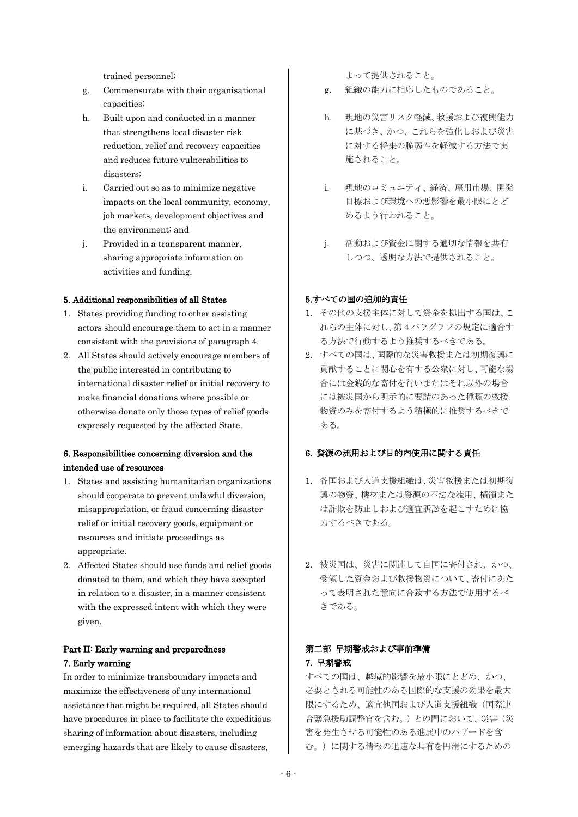trained personnel;

- g. Commensurate with their organisational capacities;
- h. Built upon and conducted in a manner that strengthens local disaster risk reduction, relief and recovery capacities and reduces future vulnerabilities to disasters;
- i. Carried out so as to minimize negative impacts on the local community, economy, job markets, development objectives and the environment; and
- j. Provided in a transparent manner, sharing appropriate information on activities and funding.

#### 5. Additional responsibilities of all States

- 1. States providing funding to other assisting actors should encourage them to act in a manner consistent with the provisions of paragraph 4.
- 2. All States should actively encourage members of the public interested in contributing to international disaster relief or initial recovery to make financial donations where possible or otherwise donate only those types of relief goods expressly requested by the affected State.

### 6. Responsibilities concerning diversion and the intended use of resources

- 1. States and assisting humanitarian organizations should cooperate to prevent unlawful diversion, misappropriation, or fraud concerning disaster relief or initial recovery goods, equipment or resources and initiate proceedings as appropriate.
- 2. Affected States should use funds and relief goods donated to them, and which they have accepted in relation to a disaster, in a manner consistent with the expressed intent with which they were given.

### Part II: Early warning and preparedness 7. Early warning

In order to minimize transboundary impacts and maximize the effectiveness of any international assistance that might be required, all States should have procedures in place to facilitate the expeditious sharing of information about disasters, including emerging hazards that are likely to cause disasters,

よって提供されること。

- g. 組織の能力に相応したものであること。
- h. 現地の災害リスク軽減、救援および復興能力 に基づき、かつ、これらを強化しおよび災害 に対する将来の脆弱性を軽減する方法で実 施されること。
- i. 現地のコミュニティ、経済、雇用市場、開発 目標および環境への悪影響を最小限にとど めるよう行われること。
- j. 活動および資金に関する適切な情報を共有 しつつ、透明な方法で提供されること。

#### 5.すべての国の追加的責任

- 1. その他の支援主体に対して資金を拠出する国は、こ れらの主体に対し、第 4 パラグラフの規定に適合す る方法で行動するよう推奨するべきである。
- 2. すべての国は、国際的な災害救援または初期復興に 貢献することに関心を有する公衆に対し、可能な場 合には金銭的な寄付を行いまたはそれ以外の場合 には被災国から明示的に要請のあった種類の救援 物資のみを寄付するよう積極的に推奨するべきで ある。

### 6. 資源の流用および目的内使用に関する責任

- 1. 各国および人道支援組織は、災害救援または初期復 興の物資、機材または資源の不法な流用、横領また は詐欺を防止しおよび適宜訴訟を起こすために協 力するべきである。
- 2. 被災国は、災害に関連して自国に寄付され、かつ、 受領した資金および救援物資について、寄付にあた って表明された意向に合致する方法で使用するべ きである。

### 第二部 早期警戒および事前準備 7. 早期警戒

すべての国は、越境的影響を最小限にとどめ、かつ、 必要とされる可能性のある国際的な支援の効果を最大 限にするため、適宜他国および人道支援組織(国際連 合緊急援助調整官を含む。)との間において、災害(災 害を発生させる可能性のある進展中のハザードを含 む。)に関する情報の迅速な共有を円滑にするための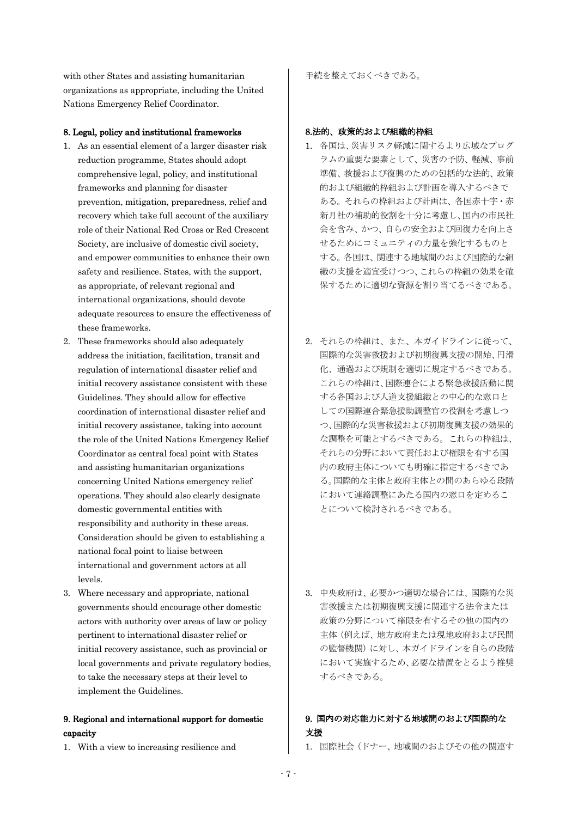with other States and assisting humanitarian organizations as appropriate, including the United Nations Emergency Relief Coordinator.

#### 8. Legal, policy and institutional frameworks

- 1. As an essential element of a larger disaster risk reduction programme, States should adopt comprehensive legal, policy, and institutional frameworks and planning for disaster prevention, mitigation, preparedness, relief and recovery which take full account of the auxiliary role of their National Red Cross or Red Crescent Society, are inclusive of domestic civil society, and empower communities to enhance their own safety and resilience. States, with the support, as appropriate, of relevant regional and international organizations, should devote adequate resources to ensure the effectiveness of these frameworks.
- 2. These frameworks should also adequately address the initiation, facilitation, transit and regulation of international disaster relief and initial recovery assistance consistent with these Guidelines. They should allow for effective coordination of international disaster relief and initial recovery assistance, taking into account the role of the United Nations Emergency Relief Coordinator as central focal point with States and assisting humanitarian organizations concerning United Nations emergency relief operations. They should also clearly designate domestic governmental entities with responsibility and authority in these areas. Consideration should be given to establishing a national focal point to liaise between international and government actors at all levels.
- 3. Where necessary and appropriate, national governments should encourage other domestic actors with authority over areas of law or policy pertinent to international disaster relief or initial recovery assistance, such as provincial or local governments and private regulatory bodies, to take the necessary steps at their level to implement the Guidelines.

### 9. Regional and international support for domestic capacity

1. With a view to increasing resilience and

手続を整えておくべきである。

#### 8.法的、政策的および組織的枠組

- 1. 各国は、災害リスク軽減に関するより広域なプログ ラムの重要な要素として、災害の予防、軽減、事前 準備、救援および復興のための包括的な法的、政策 的および組織的枠組および計画を導入するべきで ある。それらの枠組および計画は、各国赤十字・赤 新月社の補助的役割を十分に考慮し、国内の市民社 会を含み、かつ、自らの安全および回復力を向上さ せるためにコミュニティの力量を強化するものと する。各国は、関連する地域間のおよび国際的な組 織の支援を適宜受けつつ、これらの枠組の効果を確 保するために適切な資源を割り当てるべきである。
- 2. それらの枠組は、また、本ガイドラインに従って、 国際的な災害救援および初期復興支援の開始、円滑 化、通過および規制を適切に規定するべきである。 これらの枠組は、国際連合による緊急救援活動に関 する各国および人道支援組織との中心的な窓口と しての国際連合緊急援助調整官の役割を考慮しつ つ、国際的な災害救援および初期復興支援の効果的 な調整を可能とするべきである。これらの枠組は、 それらの分野において責任および権限を有する国 内の政府主体についても明確に指定するべきであ る。国際的な主体と政府主体との間のあらゆる段階 において連絡調整にあたる国内の窓口を定めるこ とについて検討されるべきである。
- 3. 中央政府は、必要かつ適切な場合には、国際的な災 害救援または初期復興支援に関連する法令または 政策の分野について権限を有するその他の国内の 主体(例えば、地方政府または現地政府および民間 の監督機関)に対し、本ガイドラインを自らの段階 において実施するため、必要な措置をとるよう推奨 するべきである。

### 9. 国内の対応能力に対する地域間のおよび国際的な 支援

1. 国際社会(ドナー、地域間のおよびその他の関連す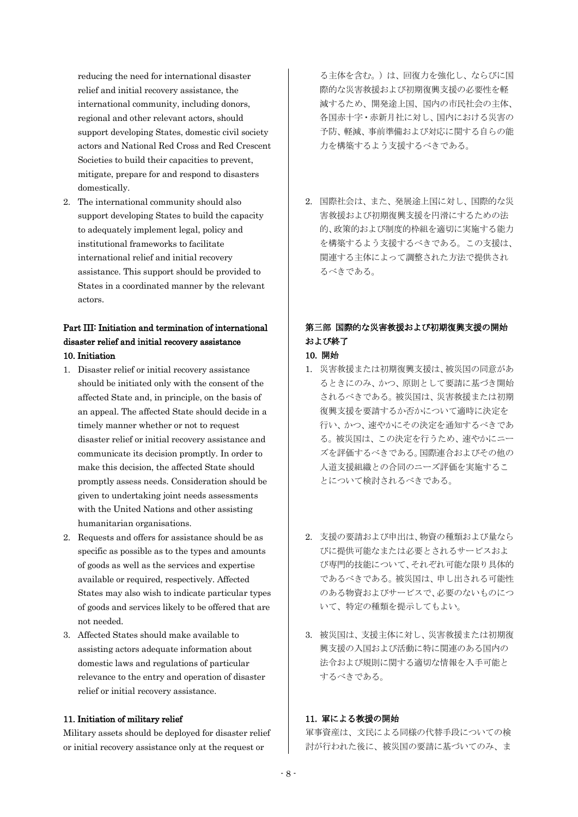reducing the need for international disaster relief and initial recovery assistance, the international community, including donors, regional and other relevant actors, should support developing States, domestic civil society actors and National Red Cross and Red Crescent Societies to build their capacities to prevent, mitigate, prepare for and respond to disasters domestically.

2. The international community should also support developing States to build the capacity to adequately implement legal, policy and institutional frameworks to facilitate international relief and initial recovery assistance. This support should be provided to States in a coordinated manner by the relevant actors.

### Part III: Initiation and termination of international disaster relief and initial recovery assistance 10. Initiation

- 1. Disaster relief or initial recovery assistance should be initiated only with the consent of the affected State and, in principle, on the basis of an appeal. The affected State should decide in a timely manner whether or not to request disaster relief or initial recovery assistance and communicate its decision promptly. In order to make this decision, the affected State should promptly assess needs. Consideration should be given to undertaking joint needs assessments with the United Nations and other assisting humanitarian organisations.
- 2. Requests and offers for assistance should be as specific as possible as to the types and amounts of goods as well as the services and expertise available or required, respectively. Affected States may also wish to indicate particular types of goods and services likely to be offered that are not needed.
- 3. Affected States should make available to assisting actors adequate information about domestic laws and regulations of particular relevance to the entry and operation of disaster relief or initial recovery assistance.

#### 11. Initiation of military relief

Military assets should be deployed for disaster relief or initial recovery assistance only at the request or

る主体を含む。)は、回復力を強化し、ならびに国 際的な災害救援および初期復興支援の必要性を軽 減するため、開発途上国、国内の市民社会の主体、 各国赤十字・赤新月社に対し、国内における災害の 予防、軽減、事前準備および対応に関する自らの能 力を構築するよう支援するべきである。

2. 国際社会は、また、発展途上国に対し、国際的な災 害救援および初期復興支援を円滑にするための法 的、政策的および制度的枠組を適切に実施する能力 を構築するよう支援するべきである。この支援は、 関連する主体によって調整された方法で提供され るべきである。

## 第三部 国際的な災害救援および初期復興支援の開始 および終了

### 10. 開始

- 1. 災害救援または初期復興支援は、被災国の同意があ るときにのみ、かつ、原則として要請に基づき開始 されるべきである。被災国は、災害救援または初期 復興支援を要請するか否かについて適時に決定を 行い、かつ、速やかにその決定を通知するべきであ る。被災国は、この決定を行うため、速やかにニー ズを評価するべきである。国際連合およびその他の 人道支援組織との合同のニーズ評価を実施するこ とについて検討されるべきである。
- 2. 支援の要請および申出は、物資の種類および量なら びに提供可能なまたは必要とされるサービスおよ び専門的技能について、それぞれ可能な限り具体的 であるべきである。被災国は、申し出される可能性 のある物資およびサービスで、必要のないものにつ いて、特定の種類を提示してもよい。
- 3. 被災国は、支援主体に対し、災害救援または初期復 興支援の入国および活動に特に関連のある国内の 法令および規則に関する適切な情報を入手可能と するべきである。

### 11. 軍による救援の開始

軍事資産は、文民による同様の代替手段についての検 討が行われた後に、被災国の要請に基づいてのみ、ま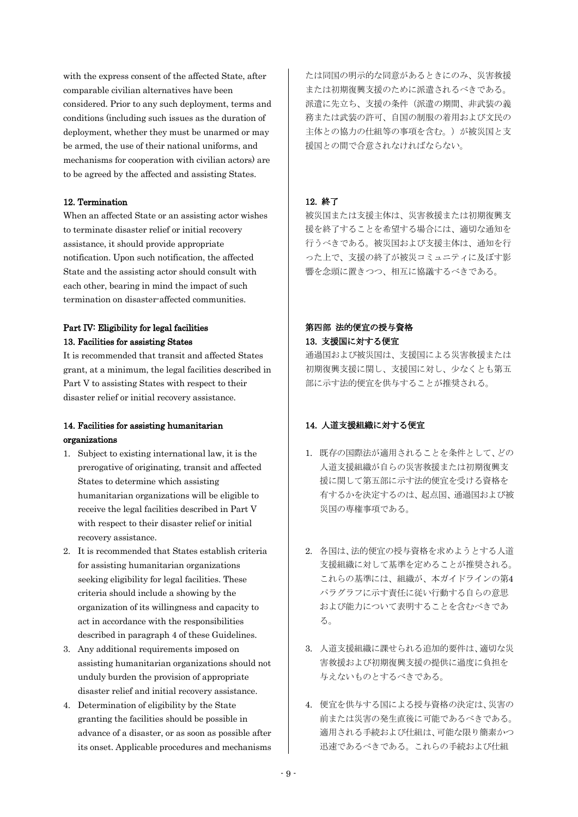with the express consent of the affected State, after comparable civilian alternatives have been considered. Prior to any such deployment, terms and conditions (including such issues as the duration of deployment, whether they must be unarmed or may be armed, the use of their national uniforms, and mechanisms for cooperation with civilian actors) are to be agreed by the affected and assisting States.

#### 12. Termination

When an affected State or an assisting actor wishes to terminate disaster relief or initial recovery assistance, it should provide appropriate notification. Upon such notification, the affected State and the assisting actor should consult with each other, bearing in mind the impact of such termination on disaster-affected communities.

### Part IV: Eligibility for legal facilities 13. Facilities for assisting States

It is recommended that transit and affected States grant, at a minimum, the legal facilities described in Part V to assisting States with respect to their disaster relief or initial recovery assistance.

### 14. Facilities for assisting humanitarian organizations

- 1. Subject to existing international law, it is the prerogative of originating, transit and affected States to determine which assisting humanitarian organizations will be eligible to receive the legal facilities described in Part V with respect to their disaster relief or initial recovery assistance.
- 2. It is recommended that States establish criteria for assisting humanitarian organizations seeking eligibility for legal facilities. These criteria should include a showing by the organization of its willingness and capacity to act in accordance with the responsibilities described in paragraph 4 of these Guidelines.
- 3. Any additional requirements imposed on assisting humanitarian organizations should not unduly burden the provision of appropriate disaster relief and initial recovery assistance.
- 4. Determination of eligibility by the State granting the facilities should be possible in advance of a disaster, or as soon as possible after its onset. Applicable procedures and mechanisms

たは同国の明示的な同意があるときにのみ、災害救援 または初期復興支援のために派遣されるべきである。 派遣に先立ち、支援の条件(派遣の期間、非武装の義 務または武装の許可、自国の制服の着用および文民の 主体との協力の仕組等の事項を含む。)が被災国と支 援国との間で合意されなければならない。

#### 12. 終了

被災国または支援主体は、災害救援または初期復興支 援を終了することを希望する場合には、適切な通知を 行うべきである。被災国および支援主体は、通知を行 った上で、支援の終了が被災コミュニティに及ぼす影 響を念頭に置きつつ、相互に協議するべきである。

### 第四部 法的便宜の授与資格 13. 支援国に対する便宜

通過国および被災国は、支援国による災害救援または 初期復興支援に関し、支援国に対し、尐なくとも第五 部に示す法的便宜を供与することが推奨される。

### 14. 人道支援組織に対する便宜

- 1. 既存の国際法が適用されることを条件として、どの 人道支援組織が自らの災害救援または初期復興支 援に関して第五部に示す法的便宜を受ける資格を 有するかを決定するのは、起点国、通過国および被 災国の専権事項である。
- 2. 各国は、法的便宜の授与資格を求めようとする人道 支援組織に対して基準を定めることが推奨される。 これらの基準には、組織が、本ガイドラインの第4 パラグラフに示す責任に従い行動する自らの意思 および能力について表明することを含むべきであ る。
- 3. 人道支援組織に課せられる追加的要件は、適切な災 害救援および初期復興支援の提供に過度に負担を 与えないものとするべきである。
- 4. 便宜を供与する国による授与資格の決定は、災害の 前または災害の発生直後に可能であるべきである。 適用される手続および仕組は、可能な限り簡素かつ 迅速であるべきである。これらの手続および仕組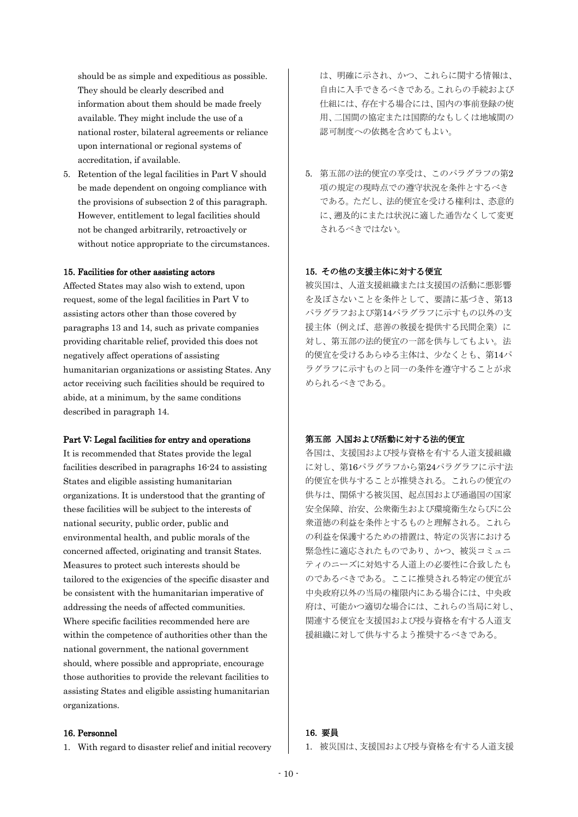should be as simple and expeditious as possible. They should be clearly described and information about them should be made freely available. They might include the use of a national roster, bilateral agreements or reliance upon international or regional systems of accreditation, if available.

5. Retention of the legal facilities in Part V should be made dependent on ongoing compliance with the provisions of subsection 2 of this paragraph. However, entitlement to legal facilities should not be changed arbitrarily, retroactively or without notice appropriate to the circumstances.

#### 15. Facilities for other assisting actors

Affected States may also wish to extend, upon request, some of the legal facilities in Part V to assisting actors other than those covered by paragraphs 13 and 14, such as private companies providing charitable relief, provided this does not negatively affect operations of assisting humanitarian organizations or assisting States. Any actor receiving such facilities should be required to abide, at a minimum, by the same conditions described in paragraph 14.

#### Part V: Legal facilities for entry and operations

It is recommended that States provide the legal facilities described in paragraphs 16-24 to assisting States and eligible assisting humanitarian organizations. It is understood that the granting of these facilities will be subject to the interests of national security, public order, public and environmental health, and public morals of the concerned affected, originating and transit States. Measures to protect such interests should be tailored to the exigencies of the specific disaster and be consistent with the humanitarian imperative of addressing the needs of affected communities. Where specific facilities recommended here are within the competence of authorities other than the national government, the national government should, where possible and appropriate, encourage those authorities to provide the relevant facilities to assisting States and eligible assisting humanitarian organizations.

#### 16. Personnel

1. With regard to disaster relief and initial recovery

は、明確に示され、かつ、これらに関する情報は、 自由に入手できるべきである。これらの手続および 仕組には、存在する場合には、国内の事前登録の使 用、二国間の協定または国際的なもしくは地域間の 認可制度への依拠を含めてもよい。

5. 第五部の法的便宜の享受は、このパラグラフの第2 項の規定の現時点での遵守状況を条件とするべき である。ただし、法的便宜を受ける権利は、恣意的 に、遡及的にまたは状況に適した通告なくして変更 されるべきではない。

### 15. その他の支援主体に対する便宜

被災国は、人道支援組織または支援国の活動に悪影響 を及ぼさないことを条件として、要請に基づき、第13 パラグラフおよび第14パラグラフに示すもの以外の支 援主体(例えば、慈善の救援を提供する民間企業)に 対し、第五部の法的便宜の一部を供与してもよい。法 的便宜を受けるあらゆる主体は、尐なくとも、第14パ ラグラフに示すものと同一の条件を遵守することが求 められるべきである。

### 第五部 入国および活動に対する法的便宜

各国は、支援国および授与資格を有する人道支援組織 に対し、第16パラグラフから第24パラグラフに示す法 的便宜を供与することが推奨される。これらの便宜の 供与は、関係する被災国、起点国および通過国の国家 安全保障、治安、公衆衛生および環境衛生ならびに公 衆道徳の利益を条件とするものと理解される。これら の利益を保護するための措置は、特定の災害における 緊急性に適応されたものであり、かつ、被災コミュニ ティのニーズに対処する人道上の必要性に合致したも のであるべきである。ここに推奨される特定の便宜が 中央政府以外の当局の権限内にある場合には、中央政 府は、可能かつ適切な場合には、これらの当局に対し、 関連する便宜を支援国および授与資格を有する人道支 援組織に対して供与するよう推奨するべきである。

#### 16. 要員

1. 被災国は、支援国および授与資格を有する人道支援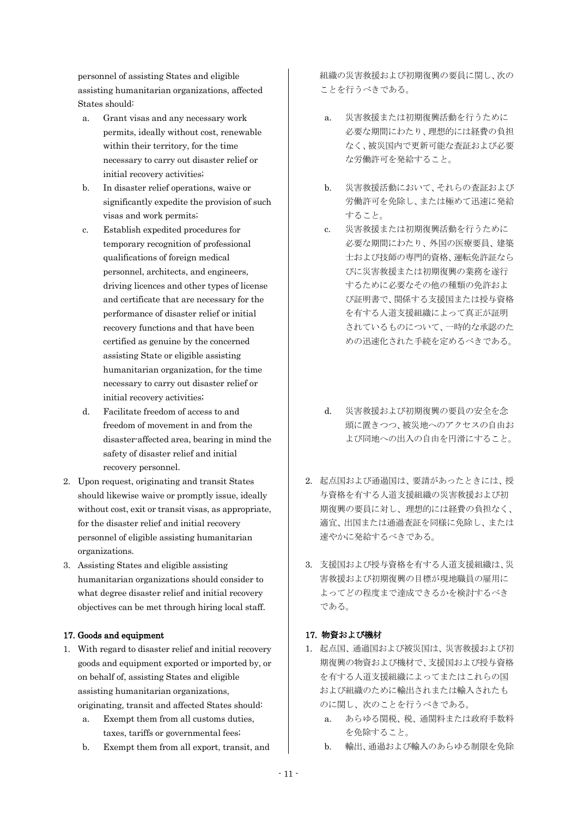personnel of assisting States and eligible assisting humanitarian organizations, affected States should:

- a. Grant visas and any necessary work permits, ideally without cost, renewable within their territory, for the time necessary to carry out disaster relief or initial recovery activities;
- b. In disaster relief operations, waive or significantly expedite the provision of such visas and work permits;
- c. Establish expedited procedures for temporary recognition of professional qualifications of foreign medical personnel, architects, and engineers, driving licences and other types of license and certificate that are necessary for the performance of disaster relief or initial recovery functions and that have been certified as genuine by the concerned assisting State or eligible assisting humanitarian organization, for the time necessary to carry out disaster relief or initial recovery activities;
- d. Facilitate freedom of access to and freedom of movement in and from the disaster-affected area, bearing in mind the safety of disaster relief and initial recovery personnel.
- 2. Upon request, originating and transit States should likewise waive or promptly issue, ideally without cost, exit or transit visas, as appropriate, for the disaster relief and initial recovery personnel of eligible assisting humanitarian organizations.
- 3. Assisting States and eligible assisting humanitarian organizations should consider to what degree disaster relief and initial recovery objectives can be met through hiring local staff.

### 17. Goods and equipment

- 1. With regard to disaster relief and initial recovery goods and equipment exported or imported by, or on behalf of, assisting States and eligible assisting humanitarian organizations, originating, transit and affected States should:
	- a. Exempt them from all customs duties, taxes, tariffs or governmental fees;
	- b. Exempt them from all export, transit, and

組織の災害救援および初期復興の要員に関し、次の ことを行うべきである。

- a. 災害救援または初期復興活動を行うために 必要な期間にわたり、理想的には経費の負担 なく、被災国内で更新可能な査証および必要 な労働許可を発給すること。
- b. 災害救援活動において、それらの査証および 労働許可を免除し、または極めて迅速に発給 すること。
- c. 災害救援または初期復興活動を行うために 必要な期間にわたり、外国の医療要員、建築 士および技師の専門的資格、運転免許証なら びに災害救援または初期復興の業務を遂行 するために必要なその他の種類の免許およ び証明書で、関係する支援国または授与資格 を有する人道支援組織によって真正が証明 されているものについて、一時的な承認のた めの迅速化された手続を定めるべきである。
- d. 災害救援および初期復興の要員の安全を念 頭に置きつつ、被災地へのアクセスの自由お よび同地への出入の自由を円滑にすること。
- 2. 起点国および通過国は、要請があったときには、授 与資格を有する人道支援組織の災害救援および初 期復興の要員に対し、理想的には経費の負担なく、 適宜、出国または通過査証を同様に免除し、または 速やかに発給するべきである。
- 3. 支援国および授与資格を有する人道支援組織は、災 害救援および初期復興の目標が現地職員の雇用に よってどの程度まで達成できるかを検討するべき である。

### 17. 物資および機材

- 1. 起点国、通過国および被災国は、災害救援および初 期復興の物資および機材で、支援国および授与資格 を有する人道支援組織によってまたはこれらの国 および組織のために輸出されまたは輸入されたも のに関し、次のことを行うべきである。
	- a. あらゆる関税、税、通関料または政府手数料 を免除すること。
	- b. 輸出、通過および輸入のあらゆる制限を免除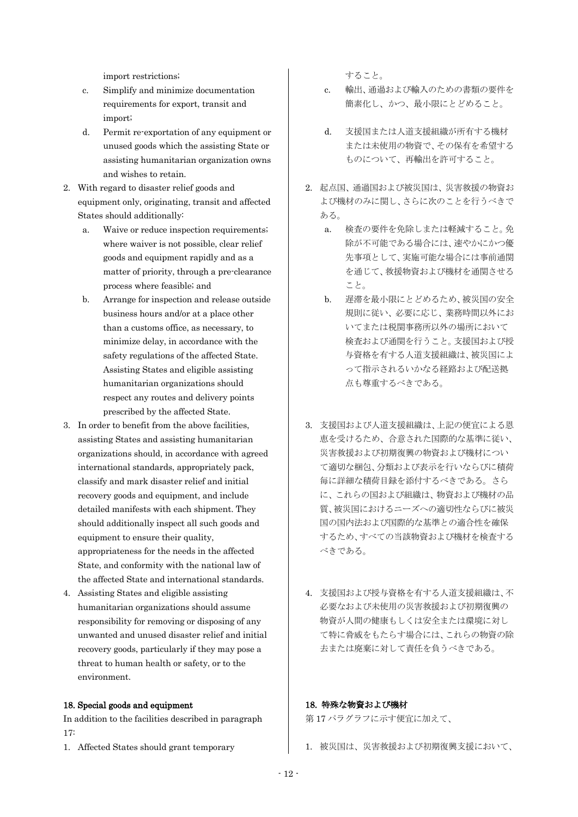import restrictions;

- c. Simplify and minimize documentation requirements for export, transit and import;
- d. Permit re-exportation of any equipment or unused goods which the assisting State or assisting humanitarian organization owns and wishes to retain.
- 2. With regard to disaster relief goods and equipment only, originating, transit and affected States should additionally:
	- a. Waive or reduce inspection requirements; where waiver is not possible, clear relief goods and equipment rapidly and as a matter of priority, through a pre-clearance process where feasible; and
	- b. Arrange for inspection and release outside business hours and/or at a place other than a customs office, as necessary, to minimize delay, in accordance with the safety regulations of the affected State. Assisting States and eligible assisting humanitarian organizations should respect any routes and delivery points prescribed by the affected State.
- 3. In order to benefit from the above facilities, assisting States and assisting humanitarian organizations should, in accordance with agreed international standards, appropriately pack, classify and mark disaster relief and initial recovery goods and equipment, and include detailed manifests with each shipment. They should additionally inspect all such goods and equipment to ensure their quality, appropriateness for the needs in the affected State, and conformity with the national law of the affected State and international standards.
- 4. Assisting States and eligible assisting humanitarian organizations should assume responsibility for removing or disposing of any unwanted and unused disaster relief and initial recovery goods, particularly if they may pose a threat to human health or safety, or to the environment.

#### 18. Special goods and equipment

In addition to the facilities described in paragraph 17:

1. Affected States should grant temporary

すること。

- c. 輸出、通過および輸入のための書類の要件を 簡素化し、かつ、最小限にとどめること。
- d. 支援国または人道支援組織が所有する機材 または未使用の物資で、その保有を希望する ものについて、再輸出を許可すること。
- 2. 起点国、通過国および被災国は、災害救援の物資お よび機材のみに関し、さらに次のことを行うべきで ある。
	- a. 検査の要件を免除しまたは軽減すること。免 除が不可能である場合には、速やかにかつ優 先事項として、実施可能な場合には事前通関 を通じて、救援物資および機材を通関させる こと。
	- b. 遅滞を最小限にとどめるため、被災国の安全 規則に従い、必要に応じ、業務時間以外にお いてまたは税関事務所以外の場所において 検査および通関を行うこと。支援国および授 与資格を有する人道支援組織は、被災国によ って指示されるいかなる経路および配送拠 点も尊重するべきである。
- 3. 支援国および人道支援組織は、上記の便宜による恩 恵を受けるため、合意された国際的な基準に従い、 災害救援および初期復興の物資および機材につい て適切な梱包、分類および表示を行いならびに積荷 毎に詳細な積荷目録を添付するべきである。さら に、これらの国および組織は、物資および機材の品 質、被災国におけるニーズへの適切性ならびに被災 国の国内法および国際的な基準との適合性を確保 するため、すべての当該物資および機材を検査する べきである。
- 4. 支援国および授与資格を有する人道支援組織は、不 必要なおよび未使用の災害救援および初期復興の 物資が人間の健康もしくは安全または環境に対し て特に脅威をもたらす場合には、これらの物資の除 去または廃棄に対して責任を負うべきである。

### 18. 特殊な物資および機材

第 17 パラグラフに示す便宜に加えて、

1. 被災国は、災害救援および初期復興支援において、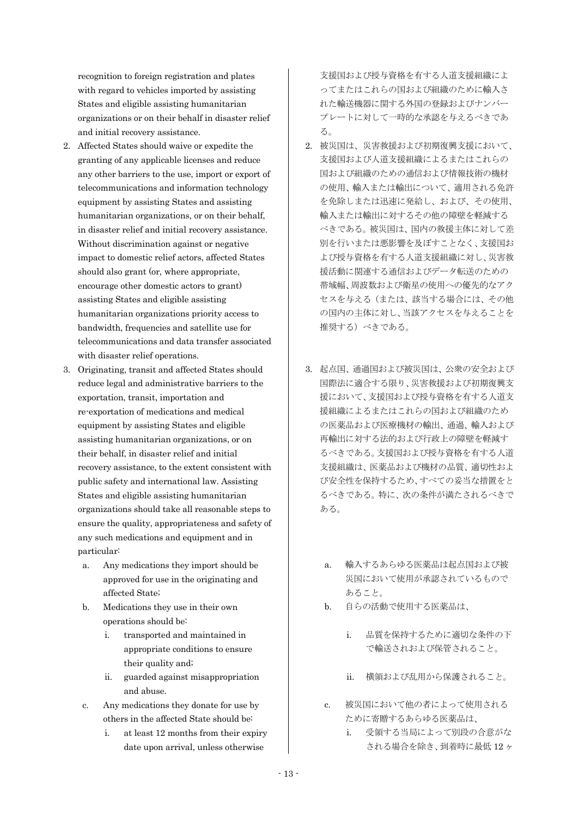recognition to foreign registration and plates with regard to vehicles imported by assisting States and eligible assisting humanitarian organizations or on their behalf in disaster relief and initial recovery assistance.

- 2. Affected States should waive or expedite the granting of any applicable licenses and reduce any other barriers to the use, import or export of telecommunications and information technology equipment by assisting States and assisting humanitarian organizations, or on their behalf, in disaster relief and initial recovery assistance. Without discrimination against or negative impact to domestic relief actors, affected States should also grant (or, where appropriate, encourage other domestic actors to grant) assisting States and eligible assisting humanitarian organizations priority access to bandwidth, frequencies and satellite use for telecommunications and data transfer associated with disaster relief operations.
- 3. Originating, transit and affected States should reduce legal and administrative barriers to the exportation, transit, importation and re-exportation of medications and medical equipment by assisting States and eligible assisting humanitarian organizations, or on their behalf, in disaster relief and initial recovery assistance, to the extent consistent with public safety and international law. Assisting States and eligible assisting humanitarian organizations should take all reasonable steps to ensure the quality, appropriateness and safety of any such medications and equipment and in particular:
	- a. Any medications they import should be approved for use in the originating and affected State;
	- b. Medications they use in their own operations should be:
		- i. transported and maintained in appropriate conditions to ensure their quality and;
		- ii. guarded against misappropriation and abuse.
	- c. Any medications they donate for use by others in the affected State should be:
		- i. at least 12 months from their expiry date upon arrival, unless otherwise

支援国および授与資格を有する人道支援組織によ ってまたはこれらの国および組織のために輸入さ れた輸送機器に関する外国の登録およびナンバー プレートに対して一時的な承認を与えるべきであ る。

- 2. 被災国は、災害救援および初期復興支援において、 支援国および人道支援組織によるまたはこれらの 国および組織のための通信および情報技術の機材 の使用、輸入または輸出について、適用される免許 を免除しまたは迅速に発給し、および、その使用、 輸入または輸出に対するその他の障壁を軽減する べきである。被災国は、国内の救援主体に対して差 別を行いまたは悪影響を及ぼすことなく、支援国お よび授与資格を有する人道支援組織に対し、災害救 援活動に関連する通信およびデータ転送のための 帯域幅、周波数および衛星の使用への優先的なアク セスを与える(または、該当する場合には、その他 の国内の主体に対し、当該アクセスを与えることを 推奨する)べきである。
- 3. 起点国、通過国および被災国は、公衆の安全および 国際法に適合する限り、災害救援および初期復興支 援において、支援国および授与資格を有する人道支 援組織によるまたはこれらの国および組織のため の医薬品および医療機材の輸出、通過、輸入および 再輸出に対する法的および行政上の障壁を軽減す るべきである。支援国および授与資格を有する人道 支援組織は、医薬品および機材の品質、適切性およ び安全性を保持するため、すべての妥当な措置をと るべきである。特に、次の条件が満たされるべきで ある。
	- a. 輸入するあらゆる医薬品は起点国および被 災国において使用が承認されているもので あること。
	- b. 自らの活動で使用する医薬品は、
		- i. 品質を保持するために適切な条件の下 で輸送されおよび保管されること。
		- ii. 横領および乱用から保護されること。
	- c. 被災国において他の者によって使用される ために寄贈するあらゆる医薬品は、
		- i. 受領する当局によって別段の合意がな される場合を除き、到着時に最低 12 ヶ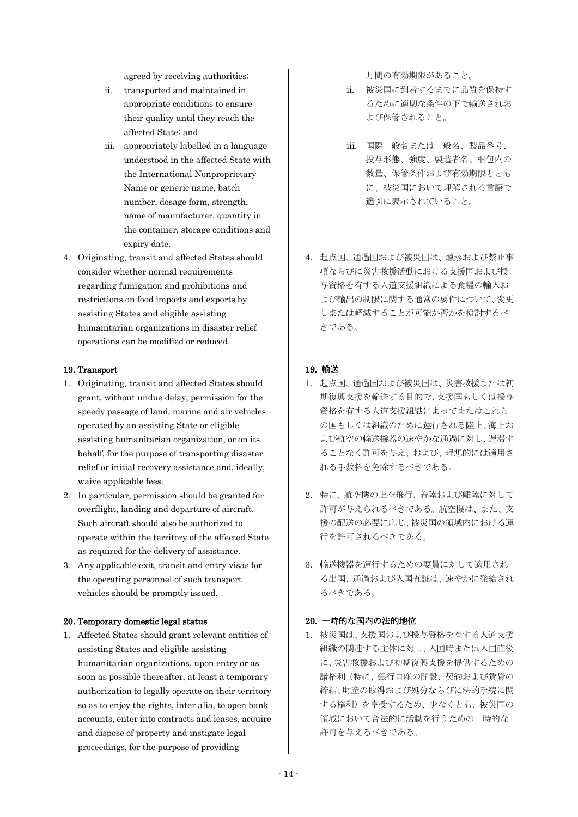agreed by receiving authorities;

- ii. transported and maintained in appropriate conditions to ensure their quality until they reach the affected State; and
- iii. appropriately labelled in a language understood in the affected State with the International Nonproprietary Name or generic name, batch number, dosage form, strength, name of manufacturer, quantity in the container, storage conditions and expiry date.
- 4. Originating, transit and affected States should consider whether normal requirements regarding fumigation and prohibitions and restrictions on food imports and exports by assisting States and eligible assisting humanitarian organizations in disaster relief operations can be modified or reduced.

#### 19. Transport

- 1. Originating, transit and affected States should grant, without undue delay, permission for the speedy passage of land, marine and air vehicles operated by an assisting State or eligible assisting humanitarian organization, or on its behalf, for the purpose of transporting disaster relief or initial recovery assistance and, ideally, waive applicable fees.
- 2. In particular, permission should be granted for overflight, landing and departure of aircraft. Such aircraft should also be authorized to operate within the territory of the affected State as required for the delivery of assistance.
- 3. Any applicable exit, transit and entry visas for the operating personnel of such transport vehicles should be promptly issued.

### 20. Temporary domestic legal status

1. Affected States should grant relevant entities of assisting States and eligible assisting humanitarian organizations, upon entry or as soon as possible thereafter, at least a temporary authorization to legally operate on their territory so as to enjoy the rights, inter alia, to open bank accounts, enter into contracts and leases, acquire and dispose of property and instigate legal proceedings, for the purpose of providing

月間の有効期限があること。

- ii. 被災国に到着するまでに品質を保持す るために適切な条件の下で輸送されお よび保管されること。
- iii. 国際一般名または一般名、製品番号、 投与形態、強度、製造者名、梱包内の 数量、保管条件および有効期限ととも に、被災国において理解される言語で 適切に表示されていること。
- 4. 起点国、通過国および被災国は、燻蒸および禁止事 項ならびに災害救援活動における支援国および授 与資格を有する人道支援組織による食糧の輸入お よび輸出の制限に関する通常の要件について、変更 しまたは軽減することが可能か否かを検討するべ きである。

### 19. 輸送

- 1. 起点国、通過国および被災国は、災害救援または初 期復興支援を輸送する目的で、支援国もしくは授与 資格を有する人道支援組織によってまたはこれら の国もしくは組織のために運行される陸上、海上お よび航空の輸送機器の速やかな通過に対し、遅滞す ることなく許可を与え、および、理想的には適用さ れる手数料を免除するべきである。
- 2. 特に、航空機の上空飛行、着陸および離陸に対して 許可が与えられるべきである。航空機は、また、支 援の配送の必要に応じ、被災国の領域内における運 行を許可されるべきである。
- 3. 輸送機器を運行するための要員に対して適用され る出国、通過および入国査証は、速やかに発給され るべきである。

#### 20. 一時的な国内の法的地位

1. 被災国は、支援国および授与資格を有する人道支援 組織の関連する主体に対し、入国時または入国直後 に、災害救援および初期復興支援を提供するための 諸権利(特に、銀行口座の開設、契約および賃貸の 締結、財産の取得および処分ならびに法的手続に関 する権利)を享受するため、少なくとも、被災国の 領域において合法的に活動を行うための一時的な 許可を与えるべきである。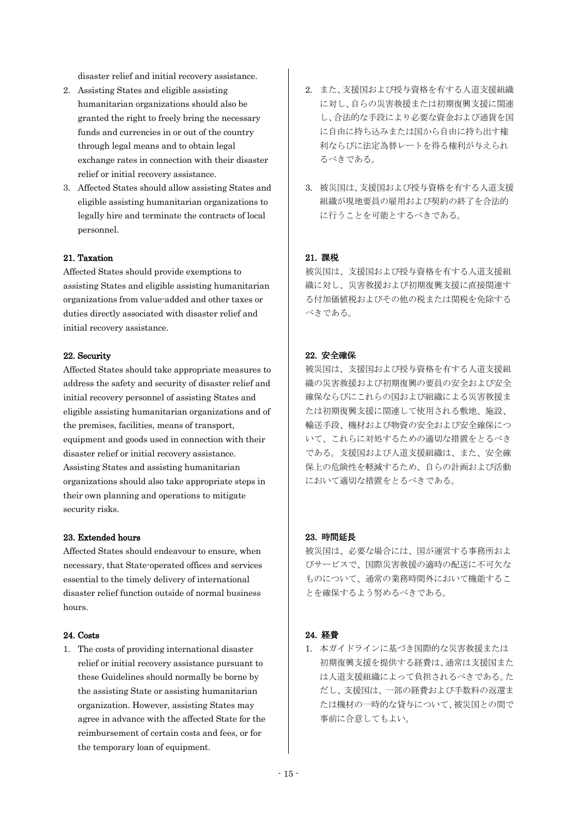disaster relief and initial recovery assistance.

- 2. Assisting States and eligible assisting humanitarian organizations should also be granted the right to freely bring the necessary funds and currencies in or out of the country through legal means and to obtain legal exchange rates in connection with their disaster relief or initial recovery assistance.
- 3. Affected States should allow assisting States and eligible assisting humanitarian organizations to legally hire and terminate the contracts of local personnel.

#### 21. Taxation

Affected States should provide exemptions to assisting States and eligible assisting humanitarian organizations from value-added and other taxes or duties directly associated with disaster relief and initial recovery assistance.

#### 22. Security

Affected States should take appropriate measures to address the safety and security of disaster relief and initial recovery personnel of assisting States and eligible assisting humanitarian organizations and of the premises, facilities, means of transport, equipment and goods used in connection with their disaster relief or initial recovery assistance. Assisting States and assisting humanitarian organizations should also take appropriate steps in their own planning and operations to mitigate security risks.

#### 23. Extended hours

Affected States should endeavour to ensure, when necessary, that State-operated offices and services essential to the timely delivery of international disaster relief function outside of normal business hours.

### 24. Costs

1. The costs of providing international disaster relief or initial recovery assistance pursuant to these Guidelines should normally be borne by the assisting State or assisting humanitarian organization. However, assisting States may agree in advance with the affected State for the reimbursement of certain costs and fees, or for the temporary loan of equipment.

- 2. また、支援国および授与資格を有する人道支援組織 に対し、自らの災害救援または初期復興支援に関連 し、合法的な手段により必要な資金および通貨を国 に自由に持ち込みまたは国から自由に持ち出す権 利ならびに法定為替レートを得る権利が与えられ るべきである。
- 3. 被災国は、支援国および授与資格を有する人道支援 組織が現地要員の雇用および契約の終了を合法的 に行うことを可能とするべきである。

#### 21. 課税

被災国は、支援国および授与資格を有する人道支援組 織に対し、災害救援および初期復興支援に直接関連す る付加価値税およびその他の税または関税を免除する べきである。

#### 22. 安全確保

被災国は、支援国および授与資格を有する人道支援組 織の災害救援および初期復興の要員の安全および安全 確保ならびにこれらの国および組織による災害救援ま たは初期復興支援に関連して使用される敷地、施設、 輸送手段、機材および物資の安全および安全確保につ いて、これらに対処するための適切な措置をとるべき である。支援国および人道支援組織は、また、安全確 保上の危険性を軽減するため、自らの計画および活動 において適切な措置をとるべきである。

#### 23. 時間延長

被災国は、必要な場合には、国が運営する事務所およ びサービスで、国際災害救援の適時の配送に不可欠な ものについて、通常の業務時間外において機能するこ とを確保するよう努めるべきである。

### 24. 経費

1. 本ガイドラインに基づき国際的な災害救援または 初期復興支援を提供する経費は、通常は支援国また は人道支援組織によって負担されるべきである。た だし、支援国は、一部の経費および手数料の返還ま たは機材の一時的な貸与について、被災国との間で 事前に合意してもよい。